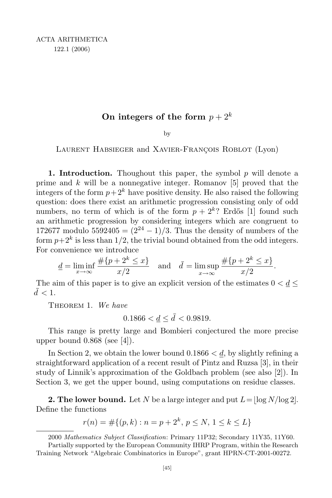## On integers of the form  $p + 2^k$

by

LAURENT HABSIEGER and XAVIER-FRANÇOIS ROBLOT (Lyon)

**1. Introduction.** Thoughout this paper, the symbol *p* will denote a prime and *k* will be a nonnegative integer. Romanov [5] proved that the integers of the form  $p+2^k$  have positive density. He also raised the following question: does there exist an arithmetic progression consisting only of odd numbers, no term of which is of the form  $p + 2<sup>k</sup>$ ? Erdős [1] found such an arithmetic progression by considering integers which are congruent to 172677 modulo  $5592405 = (2^{24} - 1)/3$ . Thus the density of numbers of the form  $p+2^k$  is less than  $1/2$ , the trivial bound obtained from the odd integers. For convenience we introduce

$$
\underline{d} = \liminf_{x \to \infty} \frac{\# \{ p + 2^k \le x \}}{x/2} \quad \text{and} \quad \overline{d} = \limsup_{x \to \infty} \frac{\# \{ p + 2^k \le x \}}{x/2}.
$$

The aim of this paper is to give an explicit version of the estimates 0 *< d ≤*  $\overline{d}$  < 1.

Theorem 1. *We have*

 $0.1866 < d < \overline{d} < 0.9819$ .

This range is pretty large and Bombieri conjectured the more precise upper bound 0*.*868 (see [4]).

In Section 2, we obtain the lower bound  $0.1866 < d$ , by slightly refining a straightforward application of a recent result of Pintz and Ruzsa [3], in their study of Linnik's approximation of the Goldbach problem (see also [2]). In Section 3, we get the upper bound, using computations on residue classes.

**2. The lower bound.** Let *N* be a large integer and put  $L = \log N / \log 2$ . Define the functions

$$
r(n) = #\{(p,k) : n = p + 2^k, p \le N, 1 \le k \le L\}
$$

<sup>2000</sup> *Mathematics Subject Classification*: Primary 11P32; Secondary 11Y35, 11Y60.

Partially supported by the European Community IHRP Program, within the Research Training Network "Algebraic Combinatorics in Europe", grant HPRN-CT-2001-00272.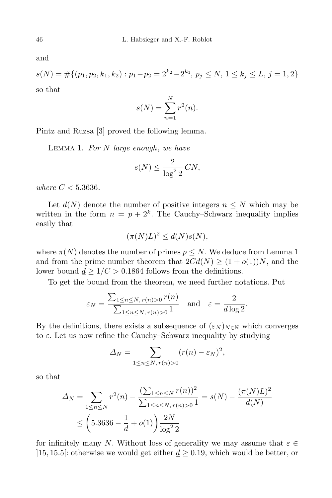and

$$
s(N) = \#\{(p_1, p_2, k_1, k_2) : p_1 - p_2 = 2^{k_2} - 2^{k_1}, p_j \le N, 1 \le k_j \le L, j = 1, 2\}
$$
  
so that

$$
s(N) = \sum_{n=1}^{N} r^2(n).
$$

Pintz and Ruzsa [3] proved the following lemma.

Lemma 1. *For N large enough*, *we have*

$$
s(N) \le \frac{2}{\log^2 2} \, CN,
$$

*where C <* 5*.*3636*.*

Let  $d(N)$  denote the number of positive integers  $n \leq N$  which may be written in the form  $n = p + 2<sup>k</sup>$ . The Cauchy–Schwarz inequality implies easily that

$$
(\pi(N)L)^2 \le d(N)s(N),
$$

where  $\pi(N)$  denotes the number of primes  $p \leq N$ . We deduce from Lemma 1 and from the prime number theorem that  $2Cd(N) \geq (1+o(1))N$ , and the lower bound  $d \geq 1/C > 0.1864$  follows from the definitions.

To get the bound from the theorem, we need further notations. Put

$$
\varepsilon_N = \frac{\sum_{1 \leq n \leq N, r(n) > 0} r(n)}{\sum_{1 \leq n \leq N, r(n) > 0} 1}
$$
 and  $\varepsilon = \frac{2}{\underline{d} \log 2}$ .

By the definitions, there exists a subsequence of  $(\varepsilon_N)_{N \in \mathbb{N}}$  which converges to  $\varepsilon$ . Let us now refine the Cauchy–Schwarz inequality by studying

$$
\Delta_N = \sum_{1 \le n \le N, r(n) > 0} (r(n) - \varepsilon_N)^2,
$$

so that

$$
\Delta_N = \sum_{1 \le n \le N} r^2(n) - \frac{\left(\sum_{1 \le n \le N} r(n)\right)^2}{\sum_{1 \le n \le N, r(n) > 0} 1} = s(N) - \frac{(\pi(N)L)^2}{d(N)}
$$
  

$$
\le \left(5.3636 - \frac{1}{d} + o(1)\right) \frac{2N}{\log^2 2}
$$

for infinitely many *N*. Without loss of generality we may assume that  $\varepsilon \in \mathcal{E}$ |15, 15.5|: otherwise we would get either  $\underline{d} \ge 0.19$ , which would be better, or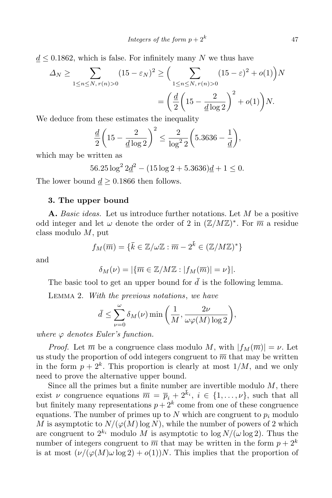$d \leq 0.1862$ , which is false. For infinitely many *N* we thus have

$$
\Delta_N \ge \sum_{1 \le n \le N, r(n) > 0} (15 - \varepsilon_N)^2 \ge \left(\sum_{1 \le n \le N, r(n) > 0} (15 - \varepsilon)^2 + o(1)\right)N
$$
\n
$$
= \left(\frac{d}{2}\left(15 - \frac{2}{d\log 2}\right)^2 + o(1)\right)N.
$$

We deduce from these estimates the inequality

$$
\frac{\underline{d}}{2}\left(15-\frac{2}{\underline{d}\log 2}\right)^2 \le \frac{2}{\log^2 2}\left(5.3636-\frac{1}{\underline{d}}\right),
$$

which may be written as

$$
56.25 \log^2 2\underline{d}^2 - (15 \log 2 + 5.3636)\underline{d} + 1 \le 0.
$$

The lower bound  $d \geq 0.1866$  then follows.

## **3. The upper bound**

**A.** *Basic ideas.* Let us introduce further notations. Let *M* be a positive odd integer and let  $\omega$  denote the order of 2 in  $(\mathbb{Z}/M\mathbb{Z})^*$ . For  $\overline{m}$  a residue class modulo *M*, put

$$
f_M(\overline{m}) = \{ \overline{k} \in \mathbb{Z}/\omega\mathbb{Z} : \overline{m} - 2^{\overline{k}} \in (\mathbb{Z}/M\mathbb{Z})^* \}
$$

and

$$
\delta_M(\nu) = |\{\overline{m} \in \mathbb{Z}/M\mathbb{Z} : |f_M(\overline{m})| = \nu\}|.
$$

The basic tool to get an upper bound for  $\bar{d}$  is the following lemma.

Lemma 2. *With the previous notations*, *we have*

$$
\bar{d} \le \sum_{\nu=0}^{\omega} \delta_M(\nu) \min\left(\frac{1}{M}, \frac{2\nu}{\omega \varphi(M) \log 2}\right),\,
$$

*where ϕ denotes Euler's function.*

*Proof.* Let  $\overline{m}$  be a congruence class modulo *M*, with  $|f_M(\overline{m})| = \nu$ . Let us study the proportion of odd integers congruent to  $\overline{m}$  that may be written in the form  $p + 2<sup>k</sup>$ . This proportion is clearly at most  $1/M$ , and we only need to prove the alternative upper bound.

Since all the primes but a finite number are invertible modulo *M*, there exist *ν* congruence equations  $\overline{m} = \overline{p}_i + 2^{k_i}, i \in \{1, ..., \nu\}$ , such that all but finitely many representations  $p + 2<sup>k</sup>$  come from one of these congruence equations. The number of primes up to  $N$  which are congruent to  $p_i$  modulo *M* is asymptotic to  $N/(\varphi(M) \log N)$ , while the number of powers of 2 which are congruent to  $2^{k_i}$  modulo *M* is asymptotic to  $\log N/(\omega \log 2)$ . Thus the number of integers congruent to  $\overline{m}$  that may be written in the form  $p + 2^k$ is at most  $(\nu/(\varphi(M)\omega \log 2) + o(1))N$ . This implies that the proportion of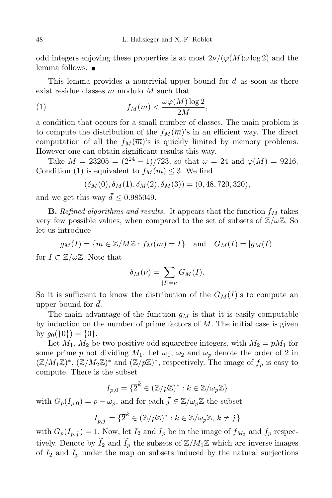odd integers enjoying these properties is at most  $2\nu/(\varphi(M)\omega \log 2)$  and the lemma follows.

This lemma provides a nontrivial upper bound for  $\bar{d}$  as soon as there exist residue classes  $\overline{m}$  modulo M such that

(1) 
$$
f_M(\overline{m}) < \frac{\omega \varphi(M) \log 2}{2M},
$$

a condition that occurs for a small number of classes. The main problem is to compute the distribution of the  $f_M(\overline{m})$ 's in an efficient way. The direct computation of all the  $f_M(\overline{m})$ 's is quickly limited by memory problems. However one can obtain significant results this way.

Take  $M = 23205 = (2^{24} - 1)/723$ , so that  $\omega = 24$  and  $\varphi(M) = 9216$ . Condition (1) is equivalent to  $f_M(\overline{m}) \leq 3$ . We find

$$
(\delta_M(0), \delta_M(1), \delta_M(2), \delta_M(3)) = (0, 48, 720, 320),
$$

and we get this way  $\bar{d}$  < 0.985049.

**B.** Refined algorithms and results. It appears that the function  $f_M$  takes very few possible values, when compared to the set of subsets of Z*/ω*Z. So let us introduce

$$
g_M(I) = \{ \overline{m} \in \mathbb{Z}/M\mathbb{Z} : f_M(\overline{m}) = I \} \text{ and } G_M(I) = |g_M(I)|
$$

for  $I \subset \mathbb{Z}/\omega\mathbb{Z}$ . Note that

$$
\delta_M(\nu) = \sum_{|I|=\nu} G_M(I).
$$

So it is sufficient to know the distribution of the  $G<sub>M</sub>(I)$ 's to compute an upper bound for *d*.

The main advantage of the function  $g_M$  is that it is easily computable by induction on the number of prime factors of *M*. The initial case is given by  $g_0({0}) = {0}.$ 

Let  $M_1$ ,  $M_2$  be two positive odd squarefree integers, with  $M_2 = pM_1$  for some prime *p* not dividing  $M_1$ . Let  $\omega_1$ ,  $\omega_2$  and  $\omega_p$  denote the order of 2 in  $(\mathbb{Z}/M_1\mathbb{Z})^*$ ,  $(\mathbb{Z}/M_2\mathbb{Z})^*$  and  $(\mathbb{Z}/p\mathbb{Z})^*$ , respectively. The image of  $f_p$  is easy to compute. There is the subset

$$
I_{p,0} = \{ \overline{2}^k \in (\mathbb{Z}/p\mathbb{Z})^* : \overline{k} \in \mathbb{Z}/\omega_p\mathbb{Z} \}
$$

with  $G_p(I_{p,0}) = p - \omega_p$ , and for each  $\overline{j} \in \mathbb{Z}/\omega_p\mathbb{Z}$  the subset

$$
I_{p,\bar{j}} = \{ \bar{2}^k \in (\mathbb{Z}/p\mathbb{Z})^* : \bar{k} \in \mathbb{Z}/\omega_p \mathbb{Z}, \, \bar{k} \neq \bar{j} \}
$$

with  $G_p(I_{p,\bar{j}}) = 1$ . Now, let  $I_2$  and  $I_p$  be in the image of  $f_{M_2}$  and  $f_p$  respectively. Denote by  $\widetilde{I}_2$  and  $\widetilde{I}_p$  the subsets of  $\mathbb{Z}/M_1\mathbb{Z}$  which are inverse images of  $I_2$  and  $I_p$  under the map on subsets induced by the natural surjections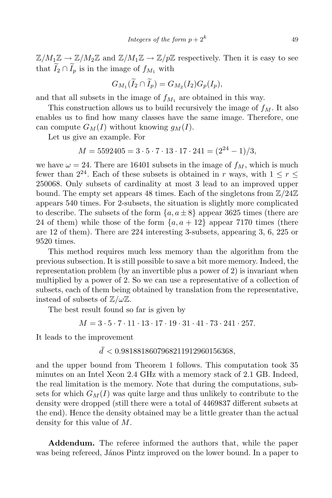$\mathbb{Z}/M_1\mathbb{Z} \to \mathbb{Z}/M_2\mathbb{Z}$  and  $\mathbb{Z}/M_1\mathbb{Z} \to \mathbb{Z}/p\mathbb{Z}$  respectively. Then it is easy to see that  $I_2 \cap I_p$  is in the image of  $f_{M_1}$  with

$$
G_{M_1}(I_2 \cap I_p) = G_{M_2}(I_2)G_p(I_p),
$$

and that all subsets in the image of  $f_{M_1}$  are obtained in this way.

This construction allows us to build recursively the image of  $f_M$ . It also enables us to find how many classes have the same image. Therefore, one can compute  $G_M(I)$  without knowing  $g_M(I)$ .

Let us give an example. For

$$
M = 5592405 = 3 \cdot 5 \cdot 7 \cdot 13 \cdot 17 \cdot 241 = (2^{24} - 1)/3,
$$

we have  $\omega = 24$ . There are 16401 subsets in the image of  $f_M$ , which is much fewer than  $2^{24}$ . Each of these subsets is obtained in *r* ways, with  $1 \leq r \leq$ 250068. Only subsets of cardinality at most 3 lead to an improved upper bound. The empty set appears 48 times. Each of the singletons from Z*/*24Z appears 540 times. For 2-subsets, the situation is slightly more complicated to describe. The subsets of the form  ${a, a \pm 8}$  appear 3625 times (there are 24 of them) while those of the form  $\{a, a+12\}$  appear 7170 times (there are 12 of them). There are 224 interesting 3-subsets, appearing 3, 6, 225 or 9520 times.

This method requires much less memory than the algorithm from the previous subsection. It is still possible to save a bit more memory. Indeed, the representation problem (by an invertible plus a power of 2) is invariant when multiplied by a power of 2. So we can use a representative of a collection of subsets, each of them being obtained by translation from the representative, instead of subsets of Z*/ω*Z.

The best result found so far is given by

$$
M = 3 \cdot 5 \cdot 7 \cdot 11 \cdot 13 \cdot 17 \cdot 19 \cdot 31 \cdot 41 \cdot 73 \cdot 241 \cdot 257.
$$

It leads to the improvement

*d <* 0*.*9818818607968211912960156368*,*

and the upper bound from Theorem 1 follows. This computation took 35 minutes on an Intel Xeon 2.4 GHz with a memory stack of 2.1 GB. Indeed, the real limitation is the memory. Note that during the computations, subsets for which  $G_M(I)$  was quite large and thus unlikely to contribute to the density were dropped (still there were a total of 4469837 different subsets at the end). Hence the density obtained may be a little greater than the actual density for this value of *M*.

**Addendum.** The referee informed the authors that, while the paper was being refereed, János Pintz improved on the lower bound. In a paper to